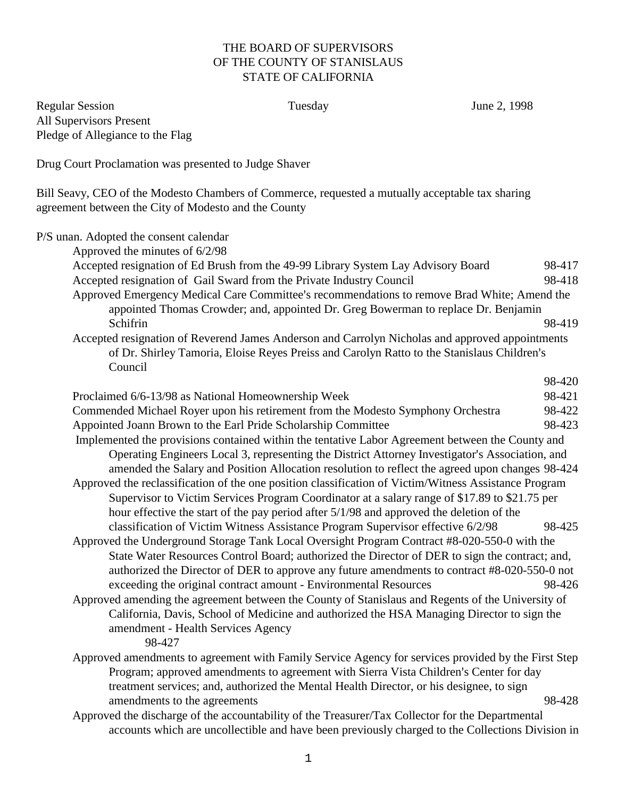## THE BOARD OF SUPERVISORS OF THE COUNTY OF STANISLAUS STATE OF CALIFORNIA

Regular Session **Tuesday** June 2, 1998 All Supervisors Present Pledge of Allegiance to the Flag

Drug Court Proclamation was presented to Judge Shaver

Bill Seavy, CEO of the Modesto Chambers of Commerce, requested a mutually acceptable tax sharing agreement between the City of Modesto and the County

P/S unan. Adopted the consent calendar Approved the minutes of 6/2/98 Accepted resignation of Ed Brush from the 49-99 Library System Lay Advisory Board 98-417 Accepted resignation of Gail Sward from the Private Industry Council 98-418 Approved Emergency Medical Care Committee's recommendations to remove Brad White; Amend the appointed Thomas Crowder; and, appointed Dr. Greg Bowerman to replace Dr. Benjamin Schifrin 98-419 Accepted resignation of Reverend James Anderson and Carrolyn Nicholas and approved appointments of Dr. Shirley Tamoria, Eloise Reyes Preiss and Carolyn Ratto to the Stanislaus Children's Council 98-420 Proclaimed 6/6-13/98 as National Homeownership Week 98-421 Commended Michael Royer upon his retirement from the Modesto Symphony Orchestra 98-422 Appointed Joann Brown to the Earl Pride Scholarship Committee 98-423 Implemented the provisions contained within the tentative Labor Agreement between the County and Operating Engineers Local 3, representing the District Attorney Investigator's Association, and amended the Salary and Position Allocation resolution to reflect the agreed upon changes 98-424 Approved the reclassification of the one position classification of Victim/Witness Assistance Program Supervisor to Victim Services Program Coordinator at a salary range of \$17.89 to \$21.75 per hour effective the start of the pay period after 5/1/98 and approved the deletion of the classification of Victim Witness Assistance Program Supervisor effective 6/2/98 98-425 Approved the Underground Storage Tank Local Oversight Program Contract #8-020-550-0 with the State Water Resources Control Board; authorized the Director of DER to sign the contract; and, authorized the Director of DER to approve any future amendments to contract #8-020-550-0 not exceeding the original contract amount - Environmental Resources 98-426 Approved amending the agreement between the County of Stanislaus and Regents of the University of California, Davis, School of Medicine and authorized the HSA Managing Director to sign the amendment - Health Services Agency 98-427 Approved amendments to agreement with Family Service Agency for services provided by the First Step Program; approved amendments to agreement with Sierra Vista Children's Center for day treatment services; and, authorized the Mental Health Director, or his designee, to sign amendments to the agreements 98-428 Approved the discharge of the accountability of the Treasurer/Tax Collector for the Departmental accounts which are uncollectible and have been previously charged to the Collections Division in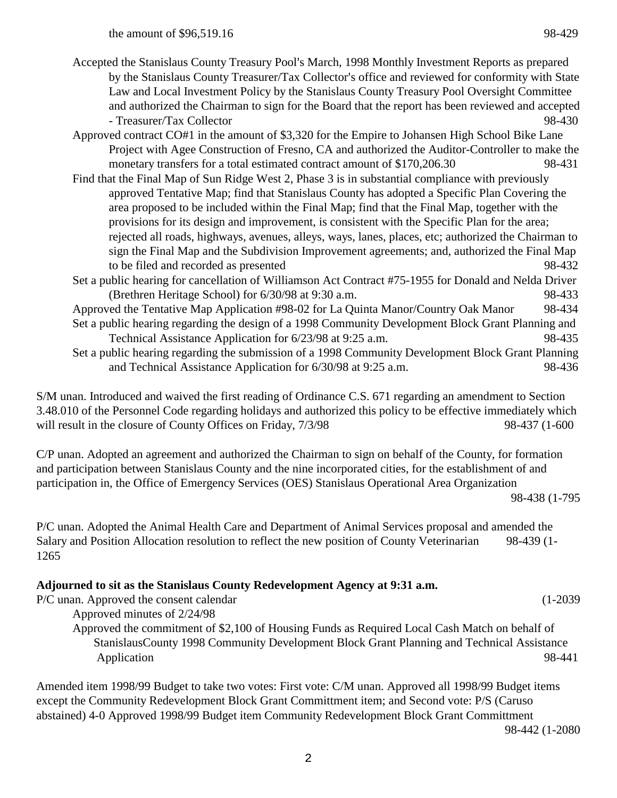the amount of \$96,519.16 98-429

- Accepted the Stanislaus County Treasury Pool's March, 1998 Monthly Investment Reports as prepared by the Stanislaus County Treasurer/Tax Collector's office and reviewed for conformity with State Law and Local Investment Policy by the Stanislaus County Treasury Pool Oversight Committee and authorized the Chairman to sign for the Board that the report has been reviewed and accepted - Treasurer/Tax Collector 98-430
- Approved contract CO#1 in the amount of \$3,320 for the Empire to Johansen High School Bike Lane Project with Agee Construction of Fresno, CA and authorized the Auditor-Controller to make the monetary transfers for a total estimated contract amount of \$170,206.30 98-431
- Find that the Final Map of Sun Ridge West 2, Phase 3 is in substantial compliance with previously approved Tentative Map; find that Stanislaus County has adopted a Specific Plan Covering the area proposed to be included within the Final Map; find that the Final Map, together with the provisions for its design and improvement, is consistent with the Specific Plan for the area; rejected all roads, highways, avenues, alleys, ways, lanes, places, etc; authorized the Chairman to sign the Final Map and the Subdivision Improvement agreements; and, authorized the Final Map to be filed and recorded as presented 98-432
- Set a public hearing for cancellation of Williamson Act Contract #75-1955 for Donald and Nelda Driver (Brethren Heritage School) for 6/30/98 at 9:30 a.m. 98-433
- Approved the Tentative Map Application #98-02 for La Quinta Manor/Country Oak Manor 98-434 Set a public hearing regarding the design of a 1998 Community Development Block Grant Planning and Technical Assistance Application for  $6/23/98$  at 9:25 a.m. 98-435
- Set a public hearing regarding the submission of a 1998 Community Development Block Grant Planning and Technical Assistance Application for  $6/30/98$  at 9:25 a.m. 98-436

S/M unan. Introduced and waived the first reading of Ordinance C.S. 671 regarding an amendment to Section 3.48.010 of the Personnel Code regarding holidays and authorized this policy to be effective immediately which will result in the closure of County Offices on Friday,  $7/3/98$  98-437 (1-600

C/P unan. Adopted an agreement and authorized the Chairman to sign on behalf of the County, for formation and participation between Stanislaus County and the nine incorporated cities, for the establishment of and participation in, the Office of Emergency Services (OES) Stanislaus Operational Area Organization 98-438 (1-795

P/C unan. Adopted the Animal Health Care and Department of Animal Services proposal and amended the Salary and Position Allocation resolution to reflect the new position of County Veterinarian 98-439 (1- 1265

# **Adjourned to sit as the Stanislaus County Redevelopment Agency at 9:31 a.m.**

P/C unan. Approved the consent calendar (1-2039

Approved minutes of 2/24/98 Approved the commitment of \$2,100 of Housing Funds as Required Local Cash Match on behalf of StanislausCounty 1998 Community Development Block Grant Planning and Technical Assistance Application 98-441

Amended item 1998/99 Budget to take two votes: First vote: C/M unan. Approved all 1998/99 Budget items except the Community Redevelopment Block Grant Committment item; and Second vote: P/S (Caruso abstained) 4-0 Approved 1998/99 Budget item Community Redevelopment Block Grant Committment

98-442 (1-2080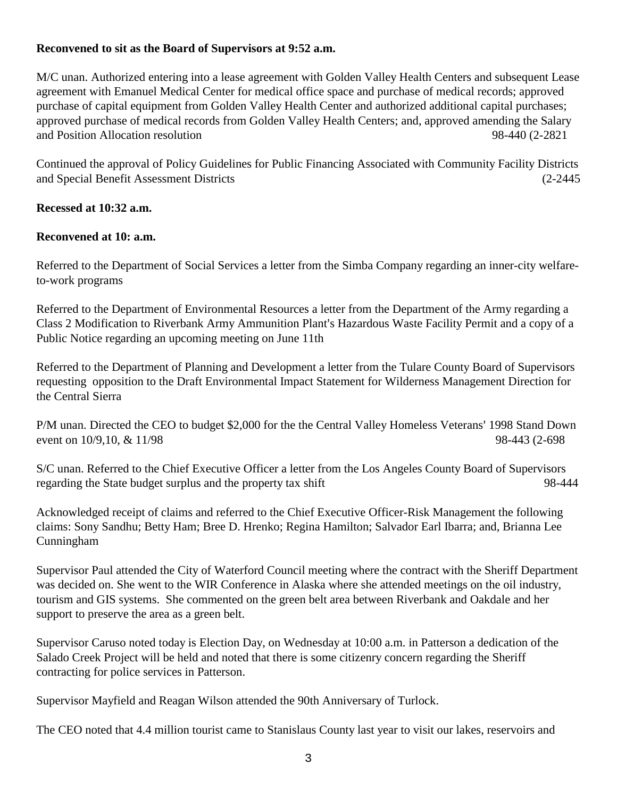# **Reconvened to sit as the Board of Supervisors at 9:52 a.m.**

M/C unan. Authorized entering into a lease agreement with Golden Valley Health Centers and subsequent Lease agreement with Emanuel Medical Center for medical office space and purchase of medical records; approved purchase of capital equipment from Golden Valley Health Center and authorized additional capital purchases; approved purchase of medical records from Golden Valley Health Centers; and, approved amending the Salary and Position Allocation resolution 98-440 (2-2821

Continued the approval of Policy Guidelines for Public Financing Associated with Community Facility Districts and Special Benefit Assessment Districts (2-2445

# **Recessed at 10:32 a.m.**

## **Reconvened at 10: a.m.**

Referred to the Department of Social Services a letter from the Simba Company regarding an inner-city welfareto-work programs

Referred to the Department of Environmental Resources a letter from the Department of the Army regarding a Class 2 Modification to Riverbank Army Ammunition Plant's Hazardous Waste Facility Permit and a copy of a Public Notice regarding an upcoming meeting on June 11th

Referred to the Department of Planning and Development a letter from the Tulare County Board of Supervisors requesting opposition to the Draft Environmental Impact Statement for Wilderness Management Direction for the Central Sierra

P/M unan. Directed the CEO to budget \$2,000 for the the Central Valley Homeless Veterans' 1998 Stand Down event on 10/9,10, & 11/98 98-443 (2-698)

S/C unan. Referred to the Chief Executive Officer a letter from the Los Angeles County Board of Supervisors regarding the State budget surplus and the property tax shift 98-444

Acknowledged receipt of claims and referred to the Chief Executive Officer-Risk Management the following claims: Sony Sandhu; Betty Ham; Bree D. Hrenko; Regina Hamilton; Salvador Earl Ibarra; and, Brianna Lee Cunningham

Supervisor Paul attended the City of Waterford Council meeting where the contract with the Sheriff Department was decided on. She went to the WIR Conference in Alaska where she attended meetings on the oil industry, tourism and GIS systems. She commented on the green belt area between Riverbank and Oakdale and her support to preserve the area as a green belt.

Supervisor Caruso noted today is Election Day, on Wednesday at 10:00 a.m. in Patterson a dedication of the Salado Creek Project will be held and noted that there is some citizenry concern regarding the Sheriff contracting for police services in Patterson.

Supervisor Mayfield and Reagan Wilson attended the 90th Anniversary of Turlock.

The CEO noted that 4.4 million tourist came to Stanislaus County last year to visit our lakes, reservoirs and